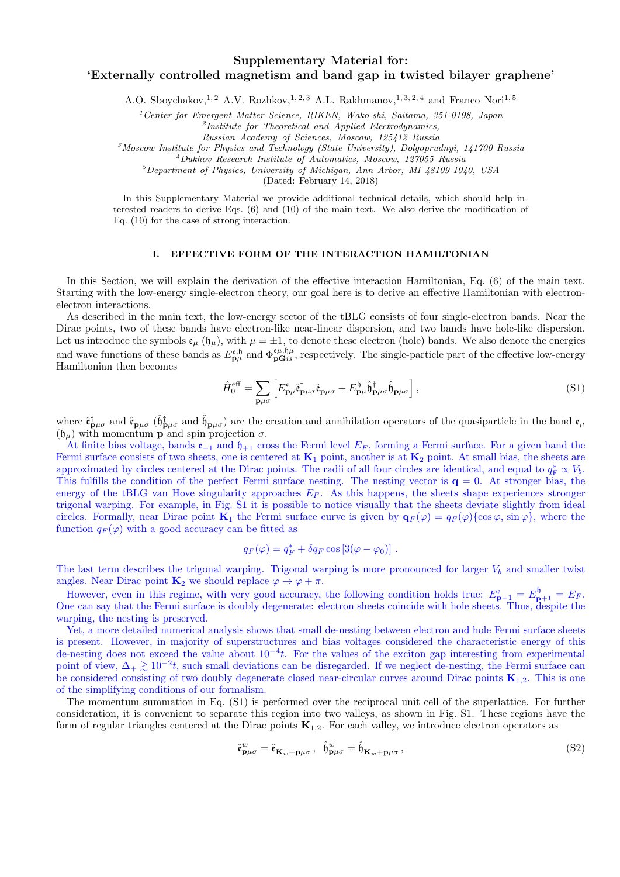# **Supplementary Material for: 'Externally controlled magnetism and band gap in twisted bilayer graphene'**

A.O. Sboychakov,<sup>1, 2</sup> A.V. Rozhkov,<sup>1, 2, 3</sup> A.L. Rakhmanov,<sup>1, 3, 2, 4</sup> and Franco Nori<sup>1, 5</sup>

*<sup>1</sup>Center for Emergent Matter Science, RIKEN, Wako-shi, Saitama, 351-0198, Japan*

*2 Institute for Theoretical and Applied Electrodynamics,*

*Russian Academy of Sciences, Moscow, 125412 Russia*

*<sup>3</sup>Moscow Institute for Physics and Technology (State University), Dolgoprudnyi, 141700 Russia*

*<sup>4</sup>Dukhov Research Institute of Automatics, Moscow, 127055 Russia*

*<sup>5</sup>Department of Physics, University of Michigan, Ann Arbor, MI 48109-1040, USA*

(Dated: February 14, 2018)

In this Supplementary Material we provide additional technical details, which should help interested readers to derive Eqs. (6) and (10) of the main text. We also derive the modification of Eq. (10) for the case of strong interaction.

# **I. EFFECTIVE FORM OF THE INTERACTION HAMILTONIAN**

In this Section, we will explain the derivation of the effective interaction Hamiltonian, Eq. (6) of the main text. Starting with the low-energy single-electron theory, our goal here is to derive an effective Hamiltonian with electronelectron interactions.

As described in the main text, the low-energy sector of the tBLG consists of four single-electron bands. Near the Dirac points, two of these bands have electron-like near-linear dispersion, and two bands have hole-like dispersion. Let us introduce the symbols  $\mathfrak{e}_{\mu}(\mathfrak{h}_{\mu})$ , with  $\mu = \pm 1$ , to denote these electron (hole) bands. We also denote the energies and wave functions of these bands as  $E_{\mathbf{p}\mu}^{\epsilon,\mathfrak{h}}$  and  $\Phi_{\mathbf{p}\mathbf{G}i\mathbf{s}}^{\epsilon\mu,\mathfrak{h}\mu}$ , respectively. The single-particle part of the effective low-energy Hamiltonian then becomes

$$
\hat{H}_0^{\text{eff}} = \sum_{\mathbf{p}\mu\sigma} \left[ E_{\mathbf{p}\mu}^{\mathfrak{e}} \hat{\mathfrak{e}}_{\mathbf{p}\mu\sigma}^{\dagger} \hat{\mathfrak{e}}_{\mathbf{p}\mu\sigma} + E_{\mathbf{p}\mu}^{\mathfrak{h}} \hat{\mathfrak{h}}_{\mathbf{p}\mu\sigma}^{\dagger} \hat{\mathfrak{h}}_{\mathbf{p}\mu\sigma} \right], \tag{S1}
$$

where  $\hat{\epsilon}_{\mathbf{p}\mu\sigma}^{\dagger}$  and  $\hat{\epsilon}_{\mathbf{p}\mu\sigma}$  ( $\hat{\mathfrak{h}}_{\mathbf{p}\mu\sigma}^{\dagger}$ ) are the creation and annihilation operators of the quasiparticle in the band  $\epsilon_{\mu}$ (h*µ*) with momentum **p** and spin projection *σ*.

At finite bias voltage, bands e*−*<sup>1</sup> and h+1 cross the Fermi level *E<sup>F</sup>* , forming a Fermi surface. For a given band the Fermi surface consists of two sheets, one is centered at  $\mathbf{K}_1$  point, another is at  $\mathbf{K}_2$  point. At small bias, the sheets are approximated by circles centered at the Dirac points. The radii of all four circles are identical, and equal to  $q_F^* \propto V_b$ . This fulfills the condition of the perfect Fermi surface nesting. The nesting vector is  $q = 0$ . At stronger bias, the energy of the tBLG van Hove singularity approaches  $E_F$ . As this happens, the sheets shape experiences stronger trigonal warping. For example, in Fig. S1 it is possible to notice visually that the sheets deviate slightly from ideal circles. Formally, near Dirac point **K**<sub>1</sub> the Fermi surface curve is given by  $\mathbf{q}_F(\varphi) = q_F(\varphi) \{\cos \varphi, \sin \varphi\}$ , where the function  $q_F(\varphi)$  with a good accuracy can be fitted as

$$
q_F(\varphi) = q_F^* + \delta q_F \cos [3(\varphi - \varphi_0)] \; .
$$

The last term describes the trigonal warping. Trigonal warping is more pronounced for larger  $V<sub>b</sub>$  and smaller twist angles. Near Dirac point  $\mathbf{K}_2$  we should replace  $\varphi \to \varphi + \pi$ .

However, even in this regime, with very good accuracy, the following condition holds true:  $E_{\mathbf{p}-1}^{\epsilon} = E_{\mathbf{p}+1}^{\mathbf{b}} = E_F$ . One can say that the Fermi surface is doubly degenerate: electron sheets coincide with hole sheets. Thus, despite the warping, the nesting is preserved.

Yet, a more detailed numerical analysis shows that small de-nesting between electron and hole Fermi surface sheets is present. However, in majority of superstructures and bias voltages considered the characteristic energy of this de-nesting does not exceed the value about 10*−*<sup>4</sup> *t*. For the values of the exciton gap interesting from experimental point of view,  $\Delta_+ \gtrsim 10^{-2}t$ , such small deviations can be disregarded. If we neglect de-nesting, the Fermi surface can be considered consisting of two doubly degenerate closed near-circular curves around Dirac points **K**1*,*2. This is one of the simplifying conditions of our formalism.

The momentum summation in Eq. (S1) is performed over the reciprocal unit cell of the superlattice. For further consideration, it is convenient to separate this region into two valleys, as shown in Fig. S1. These regions have the form of regular triangles centered at the Dirac points **K**1*,*2. For each valley, we introduce electron operators as

$$
\hat{\mathfrak{e}}_{\mathbf{p}\mu\sigma}^{w} = \hat{\mathfrak{e}}_{\mathbf{K}_{w} + \mathbf{p}\mu\sigma}, \quad \hat{\mathfrak{h}}_{\mathbf{p}\mu\sigma}^{w} = \hat{\mathfrak{h}}_{\mathbf{K}_{w} + \mathbf{p}\mu\sigma}, \tag{S2}
$$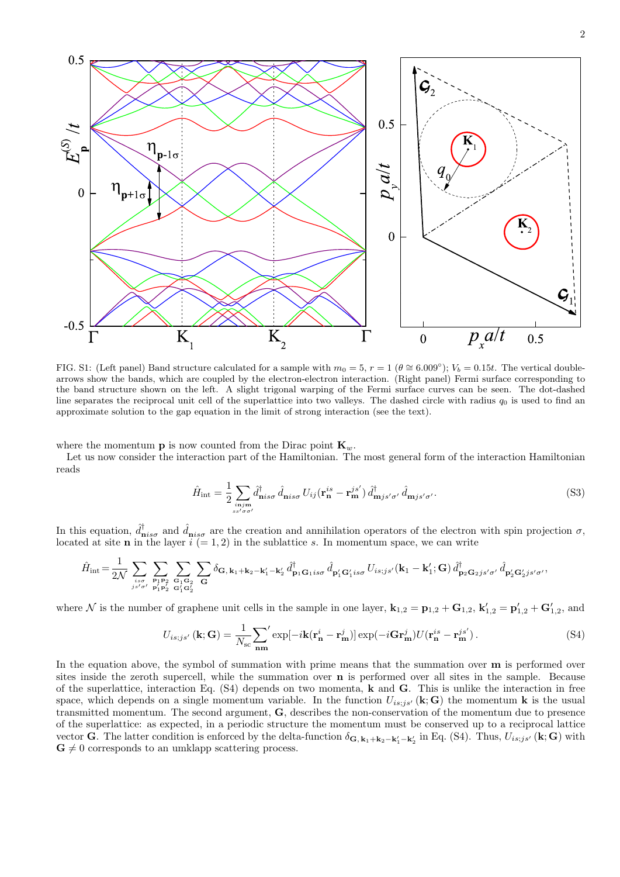

FIG. S1: (Left panel) Band structure calculated for a sample with  $m_0 = 5$ ,  $r = 1$  ( $\theta \approx 6.009°$ );  $V_b = 0.15t$ . The vertical doublearrows show the bands, which are coupled by the electron-electron interaction. (Right panel) Fermi surface corresponding to the band structure shown on the left. A slight trigonal warping of the Fermi surface curves can be seen. The dot-dashed line separates the reciprocal unit cell of the superlattice into two valleys. The dashed circle with radius  $q_0$  is used to find an approximate solution to the gap equation in the limit of strong interaction (see the text).

where the momentum **p** is now counted from the Dirac point  $\mathbf{K}_w$ .

Let us now consider the interaction part of the Hamiltonian. The most general form of the interaction Hamiltonian reads

$$
\hat{H}_{\text{int}} = \frac{1}{2} \sum_{\substack{\mathbf{i} \mathbf{n} \text{jm} \\ s s' \sigma \sigma'}} \hat{d}_{\mathbf{n} i s \sigma}^{\dagger} \hat{d}_{\mathbf{n} i s \sigma} U_{ij} (\mathbf{r}_{\mathbf{n}}^{is} - \mathbf{r}_{\mathbf{m}}^{js'}) \hat{d}_{\mathbf{m} j s' \sigma'}^{\dagger} \hat{d}_{\mathbf{m} j s' \sigma'}.
$$
\n(S3)

In this equation,  $\hat{d}^{\dagger}_{\mathbf{n} i s\sigma}$  and  $\hat{d}_{\mathbf{n} i s\sigma}$  are the creation and annihilation operators of the electron with spin projection  $\sigma$ , located at site **n** in the layer  $i (= 1, 2)$  in the sublattice *s*. In momentum space, we can write

$$
\hat{H}_{\text{int}}\!=\!\frac{1}{2\mathcal{N}}\sum_{\genfrac{}{}{0pt}{}{is\,\sigma}{j\,s'\,\sigma'}}\sum_{\genfrac{}{}{0pt}{}{\mathbf{p_1p_2}}{p_1'\mathbf{p_2'}}}\sum_{\substack{\mathbf{G_1G_2}\\ \mathbf{G_1G_2'}}}\sum_{\mathbf{G}}\delta_{\mathbf{G},\,\mathbf{k}_1+\mathbf{k}_2-\mathbf{k}_1'-\mathbf{k}_2'}\,\hat{d}^\dagger_{\mathbf{p_1G_1is\sigma}}\,\hat{d}^\dagger_{\mathbf{p_1'}\mathbf{G}_1'is\sigma} \,U_{is;js'}(\mathbf{k}_1-\mathbf{k}_1';\mathbf{G})\,\hat{d}^\dagger_{\mathbf{p_2G_2js'\sigma'}}\,\hat{d}^\dagger_{\mathbf{p_2'}\mathbf{G}_2'js'\sigma'},
$$

where N is the number of graphene unit cells in the sample in one layer,  $\mathbf{k}_{1,2} = \mathbf{p}_{1,2} + \mathbf{G}_{1,2}$ ,  $\mathbf{k}'_{1,2} = \mathbf{p}'_{1,2} + \mathbf{G}'_{1,2}$ , and

$$
U_{is;js'}(\mathbf{k};\mathbf{G}) = \frac{1}{N_{sc}} \sum_{\mathbf{nm}}' \exp[-i\mathbf{k}(\mathbf{r}_{\mathbf{n}}^i - \mathbf{r}_{\mathbf{m}}^j)] \exp(-i\mathbf{G}\mathbf{r}_{\mathbf{m}}^j) U(\mathbf{r}_{\mathbf{n}}^{is} - \mathbf{r}_{\mathbf{m}}^{js'}).
$$
 (S4)

In the equation above, the symbol of summation with prime means that the summation over **m** is performed over sites inside the zeroth supercell, while the summation over **n** is performed over all sites in the sample. Because of the superlattice, interaction Eq. (S4) depends on two momenta, **k** and **G**. This is unlike the interaction in free space, which depends on a single momentum variable. In the function  $U_{is;js'}(\mathbf{k};\mathbf{G})$  the momentum **k** is the usual transmitted momentum. The second argument, **G**, describes the non-conservation of the momentum due to presence of the superlattice: as expected, in a periodic structure the momentum must be conserved up to a reciprocal lattice vector **G**. The latter condition is enforced by the delta-function  $\delta_{\mathbf{G},\mathbf{k}_1+\mathbf{k}_2-\mathbf{k}'_1-\mathbf{k}'_2}$  in Eq. (S4). Thus,  $U_{is;js'}(\mathbf{k};\mathbf{G})$  with  $\mathbf{G} \neq 0$  corresponds to an umklapp scattering process.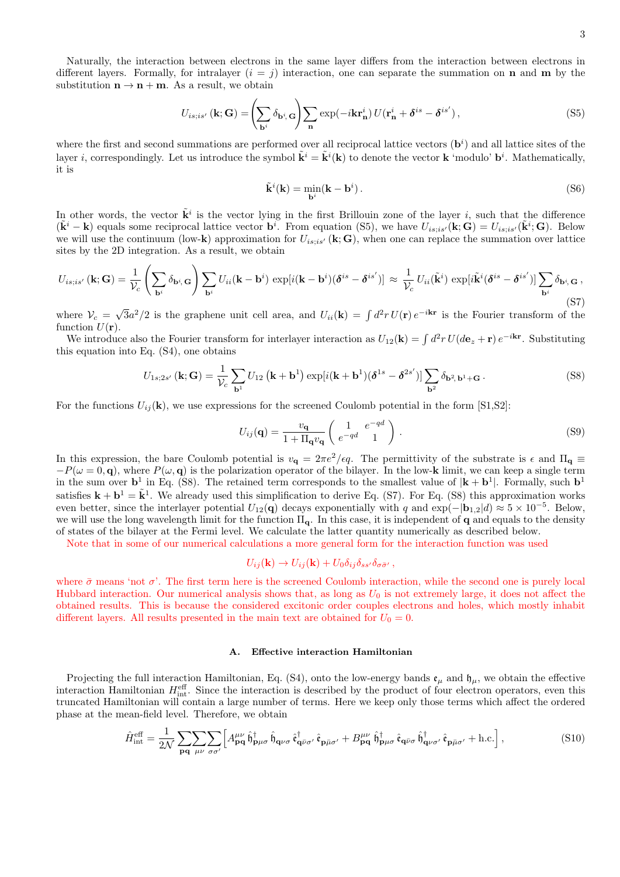$$
U_{is;is'}\left(\mathbf{k};\mathbf{G}\right) = \left(\sum_{\mathbf{b}^i} \delta_{\mathbf{b}^i,\mathbf{G}}\right) \sum_{\mathbf{n}} \exp(-i\mathbf{k}\mathbf{r}_{\mathbf{n}}^i) U(\mathbf{r}_{\mathbf{n}}^i + \boldsymbol{\delta}^{is} - \boldsymbol{\delta}^{is'}),\tag{S5}
$$

where the first and second summations are performed over all reciprocal lattice vectors  $(\mathbf{b}^i)$  and all lattice sites of the layer *i*, correspondingly. Let us introduce the symbol  $\tilde{\mathbf{k}}^i = \tilde{\mathbf{k}}^i(\mathbf{k})$  to denote the vector **k** 'modulo'  $\mathbf{b}^i$ . Mathematically, it is

$$
\tilde{\mathbf{k}}^i(\mathbf{k}) = \min_{\mathbf{b}^i} (\mathbf{k} - \mathbf{b}^i). \tag{S6}
$$

In other words, the vector  $\tilde{\mathbf{k}}^i$  is the vector lying in the first Brillouin zone of the layer *i*, such that the difference  $(\tilde{\mathbf{k}}^i - \mathbf{k})$  equals some reciprocal lattice vector  $\mathbf{b}^i$ . From equation (S5), we have  $U_{is;is'}(\mathbf{k};\mathbf{G}) = U_{is;is'}(\tilde{\mathbf{k}}^i;\mathbf{G})$ . Below we will use the continuum (low-**k**) approximation for  $U_{is;is'}$  ( $k; G$ ), when one can replace the summation over lattice sites by the 2D integration. As a result, we obtain

$$
U_{is;is'}\left(\mathbf{k};\mathbf{G}\right) = \frac{1}{\mathcal{V}_c} \left( \sum_{\mathbf{b}^i} \delta_{\mathbf{b}^i,\mathbf{G}} \right) \sum_{\mathbf{b}^i} U_{ii}(\mathbf{k} - \mathbf{b}^i) \exp[i(\mathbf{k} - \mathbf{b}^i)(\boldsymbol{\delta}^{is} - \boldsymbol{\delta}^{is'})] \approx \frac{1}{\mathcal{V}_c} U_{ii}(\tilde{\mathbf{k}}^i) \exp[i\tilde{\mathbf{k}}^i(\boldsymbol{\delta}^{is} - \boldsymbol{\delta}^{is'})] \sum_{\mathbf{b}^i} \delta_{\mathbf{b}^i,\mathbf{G}} ,
$$
\n(S7)

where  $V_c = \sqrt{3}a^2/2$  is the graphene unit cell area, and  $U_{ii}(\mathbf{k}) = \int d^2r U(\mathbf{r}) e^{-i\mathbf{k}\mathbf{r}}$  is the Fourier transform of the function  $U(\mathbf{r})$ .

We introduce also the Fourier transform for interlayer interaction as  $U_{12}(\mathbf{k}) = \int d^2 r \, U(d\mathbf{e}_z + \mathbf{r}) e^{-i\mathbf{k}\mathbf{r}}$ . Substituting this equation into Eq. (S4), one obtains

$$
U_{1s;2s'}(\mathbf{k};\mathbf{G}) = \frac{1}{\mathcal{V}_c} \sum_{\mathbf{b}^1} U_{12} (\mathbf{k} + \mathbf{b}^1) \exp[i(\mathbf{k} + \mathbf{b}^1)(\boldsymbol{\delta}^{1s} - \boldsymbol{\delta}^{2s'})] \sum_{\mathbf{b}^2} \delta_{\mathbf{b}^2, \mathbf{b}^1 + \mathbf{G}}.
$$
 (S8)

For the functions  $U_{ij}(\mathbf{k})$ , we use expressions for the screened Coulomb potential in the form [S1,S2]:

$$
U_{ij}(\mathbf{q}) = \frac{v_{\mathbf{q}}}{1 + \Pi_{\mathbf{q}} v_{\mathbf{q}}} \left( \begin{array}{cc} 1 & e^{-qd} \\ e^{-qd} & 1 \end{array} \right) . \tag{S9}
$$

In this expression, the bare Coulomb potential is  $v_q = 2\pi e^2/\epsilon q$ . The permittivity of the substrate is  $\epsilon$  and  $\Pi_q \equiv$  $-P(\omega = 0, \mathbf{q})$ , where  $P(\omega, \mathbf{q})$  is the polarization operator of the bilayer. In the low-**k** limit, we can keep a single term in the sum over  $\mathbf{b}^1$  in Eq. (S8). The retained term corresponds to the smallest value of  $|\mathbf{k} + \mathbf{b}^1|$ . Formally, such  $\mathbf{b}^1$ satisfies  $\mathbf{k} + \mathbf{b}^1 = \tilde{\mathbf{k}}^1$ . We already used this simplification to derive Eq. (S7). For Eq. (S8) this approximation works even better, since the interlayer potential  $U_{12}(\mathbf{q})$  decays exponentially with *q* and  $\exp(-|\mathbf{b}_{1,2}|d) \approx 5 \times 10^{-5}$ . Below, we will use the long wavelength limit for the function Π**q**. In this case, it is independent of **q** and equals to the density of states of the bilayer at the Fermi level. We calculate the latter quantity numerically as described below.

Note that in some of our numerical calculations a more general form for the interaction function was used

$$
U_{ij}(\mathbf{k}) \to U_{ij}(\mathbf{k}) + U_0 \delta_{ij} \delta_{ss'} \delta_{\sigma \bar{\sigma}'},
$$

where  $\bar{\sigma}$  means 'not  $\sigma$ '. The first term here is the screened Coulomb interaction, while the second one is purely local Hubbard interaction. Our numerical analysis shows that, as long as  $U_0$  is not extremely large, it does not affect the obtained results. This is because the considered excitonic order couples electrons and holes, which mostly inhabit different layers. All results presented in the main text are obtained for  $U_0 = 0$ .

### **A. Effective interaction Hamiltonian**

Projecting the full interaction Hamiltonian, Eq. (S4), onto the low-energy bands  $\mathfrak{e}_{\mu}$  and  $\mathfrak{h}_{\mu}$ , we obtain the effective interaction Hamiltonian  $H_{\text{int}}^{\text{eff}}$ . Since the interaction is described by the product of four electron operators, even this truncated Hamiltonian will contain a large number of terms. Here we keep only those terms which affect the ordered phase at the mean-field level. Therefore, we obtain

$$
\hat{H}^{\text{eff}}_{\text{int}} = \frac{1}{2\mathcal{N}} \sum_{\mathbf{p}\mathbf{q}} \sum_{\mu\nu} \sum_{\sigma\sigma'} \left[ A^{\mu\nu}_{\mathbf{p}\mathbf{q}} \hat{\mathfrak{h}}^{\dagger}_{\mathbf{p}\mu\sigma} \hat{\mathfrak{h}}^{\dagger}_{\mathbf{q}\nu\sigma} \hat{\mathfrak{e}}^{\dagger}_{\mathbf{q}\bar{\nu}\sigma'} \hat{\mathfrak{e}}^{\dagger}_{\mathbf{p}\bar{\mu}\sigma'} + B^{\mu\nu}_{\mathbf{p}\mathbf{q}} \hat{\mathfrak{h}}^{\dagger}_{\mathbf{p}\mu\sigma} \hat{\mathfrak{e}}^{\dagger}_{\mathbf{q}\bar{\nu}\sigma'} \hat{\mathfrak{e}}^{\dagger}_{\mathbf{p}\bar{\mu}\sigma'} + \text{h.c.} \right],\tag{S10}
$$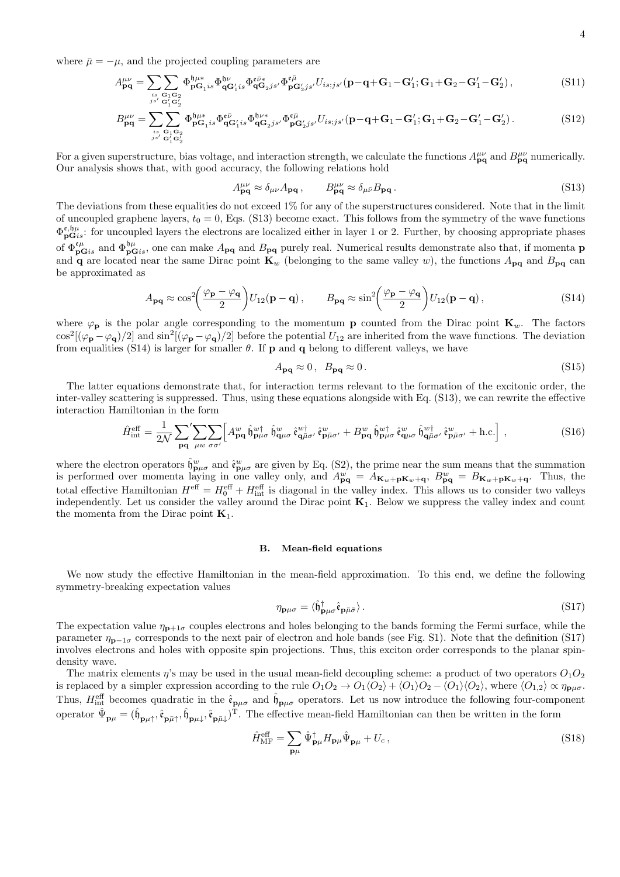where  $\bar{\mu} = -\mu$ , and the projected coupling parameters are

$$
A_{\mathbf{p}\mathbf{q}}^{\mu\nu} = \sum_{\substack{i_s \ G_1 G_2 \\ j s' G_1' G_2'}} \sum_{\substack{\mathbf{q}_1 \mathbf{q}_2 \\ \mathbf{q}_1' G_2'}} \Phi_{\mathbf{p}G_1 i s}^{\mathbf{q}_{\mu\nu}} \Phi_{\mathbf{q}G_2 j s'}^{\mathbf{p}_{\nu}} \Phi_{\mathbf{p}G_2' j s'}^{\mathbf{p} \bar{\mu}} U_{i s; j s'}^{\mathbf{q}} (\mathbf{p} - \mathbf{q} + \mathbf{G}_1 - \mathbf{G}_1'; \mathbf{G}_1 + \mathbf{G}_2 - \mathbf{G}_1' - \mathbf{G}_2'), \tag{S11}
$$

$$
B_{\mathbf{pq}}^{\mu\nu} = \sum_{\substack{is \ \mathbf{G}_1 \mathbf{G}_2 \\ j s' \ \mathbf{G}_1' \mathbf{G}_2'}} \Phi_{\mathbf{p} \mathbf{G}_1 is}^{\mathfrak{h}\mu*} \Phi_{\mathbf{q} \mathbf{G}_1's}^{\mathfrak{e}\bar{\nu}} \Phi_{\mathbf{q} \mathbf{G}_2 js'}^{\mathfrak{h}\nu*} \Phi_{\mathbf{p} \mathbf{G}_2's'}^{\mathfrak{e}\bar{\mu}} U_{is;j s'}(\mathbf{p} - \mathbf{q} + \mathbf{G}_1 - \mathbf{G}_1'; \mathbf{G}_1 + \mathbf{G}_2 - \mathbf{G}_1' - \mathbf{G}_2').
$$
\n(S12)

For a given superstructure, bias voltage, and interaction strength, we calculate the functions  $A_{pq}^{\mu\nu}$  and  $B_{pq}^{\mu\nu}$  numerically. Our analysis shows that, with good accuracy, the following relations hold

$$
A_{\mathbf{pq}}^{\mu\nu} \approx \delta_{\mu\nu} A_{\mathbf{pq}} \,, \qquad B_{\mathbf{pq}}^{\mu\nu} \approx \delta_{\mu\bar{\nu}} B_{\mathbf{pq}} \,. \tag{S13}
$$

The deviations from these equalities do not exceed 1% for any of the superstructures considered. Note that in the limit of uncoupled graphene layers,  $t_0 = 0$ , Eqs. (S13) become exact. This follows from the symmetry of the wave functions  $\Phi_{\mathbf{pG}is}^{\mathfrak{e},\mathfrak{h}\mu}$ : for uncoupled layers the electrons are localized either in layer 1 or 2. Further, by choosing appropriate phases of  $\Phi_{\mathbf{pG}}^{\mathfrak{e}\mu}$  and  $\Phi_{\mathbf{pG}}^{\mathfrak{h}\mu}$ , one can make  $A_{\mathbf{pq}}$  and  $B_{\mathbf{pq}}$  purely real. Numerical results demonstrate also that, if momenta **p** and **q** are located near the same Dirac point  $\mathbf{K}_w$  (belonging to the same valley *w*), the functions  $A_{pq}$  and  $B_{pq}$  can be approximated as

$$
A_{\mathbf{pq}} \approx \cos^2\left(\frac{\varphi_{\mathbf{p}} - \varphi_{\mathbf{q}}}{2}\right) U_{12}(\mathbf{p} - \mathbf{q}), \qquad B_{\mathbf{pq}} \approx \sin^2\left(\frac{\varphi_{\mathbf{p}} - \varphi_{\mathbf{q}}}{2}\right) U_{12}(\mathbf{p} - \mathbf{q}), \tag{S14}
$$

where  $\varphi_p$  is the polar angle corresponding to the momentum **p** counted from the Dirac point  $\mathbf{K}_w$ . The factors  $\cos^2[(\varphi_{\bf p} - \varphi_{\bf q})/2]$  and  $\sin^2[(\varphi_{\bf p} - \varphi_{\bf q})/2]$  before the potential  $U_{12}$  are inherited from the wave functions. The deviation from equalities (S14) is larger for smaller  $\theta$ . If **p** and **q** belong to different valleys, we have

$$
A_{\mathbf{p}\mathbf{q}} \approx 0, \ B_{\mathbf{p}\mathbf{q}} \approx 0. \tag{S15}
$$

The latter equations demonstrate that, for interaction terms relevant to the formation of the excitonic order, the inter-valley scattering is suppressed. Thus, using these equations alongside with Eq. (S13), we can rewrite the effective interaction Hamiltonian in the form

$$
\hat{H}^{\text{eff}}_{\text{int}} = \frac{1}{2\mathcal{N}} \sum_{\mathbf{p}\mathbf{q}} \sum_{\mu w} \sum_{\sigma\sigma'} \Big[ A^w_{\mathbf{p}\mathbf{q}} \hat{\mathfrak{h}}^w_{\mathbf{p}\mu\sigma} \hat{\mathfrak{h}}^w_{\mathbf{q}\mu\sigma} \hat{\mathfrak{e}}^w_{\mathbf{q}\bar{\mu}\sigma'} \hat{\mathfrak{e}}^w_{\mathbf{p}\bar{\mu}\sigma'} + B^w_{\mathbf{p}\mathbf{q}} \hat{\mathfrak{h}}^w_{\mathbf{p}\mu\sigma} \hat{\mathfrak{e}}^w_{\mathbf{q}\mu\sigma} \hat{\mathfrak{h}}^w_{\mathbf{q}\bar{\mu}\sigma'} \hat{\mathfrak{e}}^w_{\mathbf{p}\bar{\mu}\sigma'} + \text{h.c.} \Big] , \tag{S16}
$$

where the electron operators  $\hat{\mathfrak{h}}_{\mathbf{p}\mu\sigma}^w$  and  $\hat{\mathfrak{e}}_{\mathbf{p}\mu\sigma}^w$  are given by Eq. (S2), the prime near the sum means that the summation is performed over momenta laying in one valley only, and  $A_{pq}^w = A_{K_w+pK_w+q}$ ,  $B_{pq}^w = B_{K_w+pK_w+q}$ . Thus, the total effective Hamiltonian  $H^{\text{eff}} = H_0^{\text{eff}} + H_{\text{int}}^{\text{eff}}$  is diagonal in the valley index. This allows us to consider two valleys independently. Let us consider the valley around the Dirac point **K**1. Below we suppress the valley index and count the momenta from the Dirac point  $K_1$ .

#### **B. Mean-field equations**

We now study the effective Hamiltonian in the mean-field approximation. To this end, we define the following symmetry-breaking expectation values

$$
\eta_{\mathbf{p}\mu\sigma} = \langle \hat{\mathfrak{h}}_{\mathbf{p}\mu\sigma}^{\dagger} \hat{\mathfrak{e}}_{\mathbf{p}\bar{\mu}\bar{\sigma}} \rangle. \tag{S17}
$$

The expectation value  $\eta_{p+1\sigma}$  couples electrons and holes belonging to the bands forming the Fermi surface, while the parameter *η***<sup>p</sup>***−*1*<sup>σ</sup>* corresponds to the next pair of electron and hole bands (see Fig. S1). Note that the definition (S17) involves electrons and holes with opposite spin projections. Thus, this exciton order corresponds to the planar spindensity wave.

The matrix elements  $\eta$ 's may be used in the usual mean-field decoupling scheme: a product of two operators  $O_1O_2$ is replaced by a simpler expression according to the rule  $O_1O_2 \to O_1\langle O_2\rangle + \langle O_1\rangle O_2 - \langle O_1\rangle \langle O_2\rangle$ , where  $\langle O_{1,2}\rangle \propto \eta_{\text{puc}}$ . Thus,  $H_{int}^{\text{eff}}$  becomes quadratic in the  $\hat{\mathfrak{e}}_{\mathbf{p}\mu\sigma}$  and  $\hat{\mathfrak{h}}_{\mathbf{p}\mu\sigma}$  operators. Let us now introduce the following four-component operator  $\hat{\Psi}_{\mathbf{p}\mu} = (\hat{\mathfrak{h}}_{\mathbf{p}\mu\uparrow}, \hat{\mathfrak{e}}_{\mathbf{p}\bar{\mu}\uparrow}, \hat{\mathfrak{h}}_{\mathbf{p}\mu\downarrow}, \hat{\mathfrak{e}}_{\mathbf{p}\bar{\mu}\downarrow})^{\mathrm{T}}$ . The effective mean-field Hamiltonian can then be written in the form

$$
\hat{H}_{\text{MF}}^{\text{eff}} = \sum_{\mathbf{p}\mu} \hat{\Psi}_{\mathbf{p}\mu}^{\dagger} H_{\mathbf{p}\mu} \hat{\Psi}_{\mathbf{p}\mu} + U_c, \qquad (S18)
$$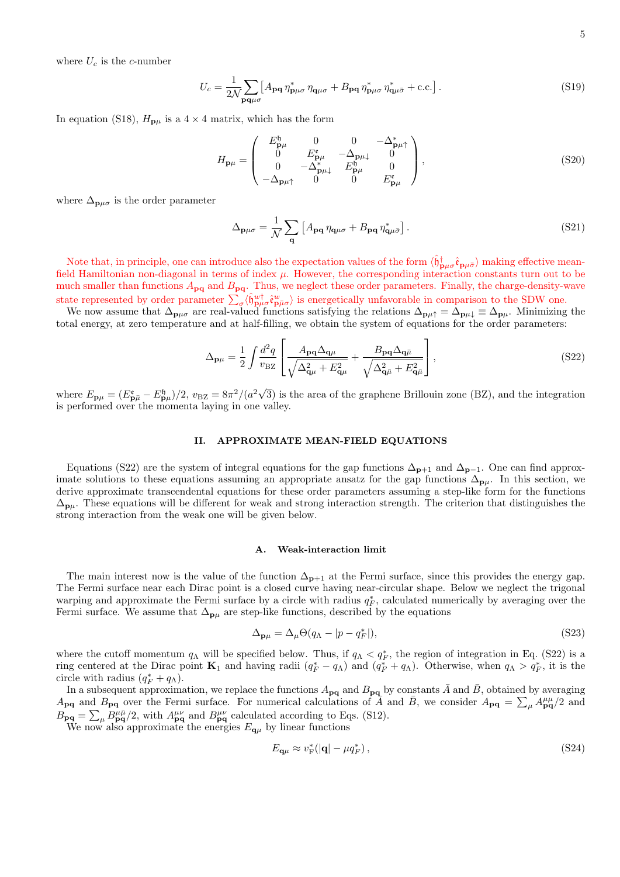where  $U_c$  is the *c*-number

$$
U_c = \frac{1}{2\mathcal{N}} \sum_{\mathbf{p}\mathbf{q}\mu\sigma} \left[ A_{\mathbf{p}\mathbf{q}} \, \eta_{\mathbf{p}\mu\sigma}^* \, \eta_{\mathbf{q}\mu\sigma} + B_{\mathbf{p}\mathbf{q}} \, \eta_{\mathbf{p}\mu\sigma}^* \, \eta_{\mathbf{q}\mu\bar{\sigma}}^* + \text{c.c.} \right]. \tag{S19}
$$

In equation (S18),  $H_{\mathbf{p}\mu}$  is a  $4 \times 4$  matrix, which has the form

$$
H_{\mathbf{p}\mu} = \begin{pmatrix} E_{\mathbf{p}\mu}^{b} & 0 & 0 & -\Delta_{\mathbf{p}\mu}^{*} \\ 0 & E_{\mathbf{p}\mu}^{c} & -\Delta_{\mathbf{p}\mu} & 0 \\ 0 & -\Delta_{\mathbf{p}\mu}^{*} & E_{\mathbf{p}\mu}^{b} & 0 \\ -\Delta_{\mathbf{p}\mu}^{*} & 0 & 0 & E_{\mathbf{p}\mu}^{c} \end{pmatrix},
$$
\n(S20)

where  $\Delta_{\mathbf{p}\mu\sigma}$  is the order parameter

$$
\Delta_{\mathbf{p}\mu\sigma} = \frac{1}{N} \sum_{\mathbf{q}} \left[ A_{\mathbf{p}\mathbf{q}} \eta_{\mathbf{q}\mu\sigma} + B_{\mathbf{p}\mathbf{q}} \eta_{\mathbf{q}\mu\bar{\sigma}}^* \right]. \tag{S21}
$$

Note that, in principle, one can introduce also the expectation values of the form  $\langle \hat{\theta}^{\dagger}_{\mathbf{p}\mu\sigma} \hat{\mathbf{e}}_{\mathbf{p}\mu\bar{\sigma}} \rangle$  making effective meanfield Hamiltonian non-diagonal in terms of index *µ*. However, the corresponding interaction constants turn out to be much smaller than functions  $A_{pq}$  and  $B_{pq}$ . Thus, we neglect these order parameters. Finally, the charge-density-wave state represented by order parameter  $\sum_{\sigma} \langle \hat{h}^{w\dagger}_{\mathbf{p}\mu\sigma} \hat{\epsilon}^w_{\mathbf{p}\bar{\mu}\sigma} \rangle$  is energetically unfavorable in comparison to the SDW one.

We now assume that  $\Delta_{\mathbf{p}\mu\sigma}$  are real-valued functions satisfying the relations  $\Delta_{\mathbf{p}\mu\uparrow} = \Delta_{\mathbf{p}\mu\downarrow} \equiv \Delta_{\mathbf{p}\mu}$ . Minimizing the total energy, at zero temperature and at half-filling, we obtain the system of equations for the order parameters:

$$
\Delta_{\mathbf{p}\mu} = \frac{1}{2} \int \frac{d^2 q}{v_{\text{BZ}}} \left[ \frac{A_{\mathbf{p}\mathbf{q}} \Delta_{\mathbf{q}\mu}}{\sqrt{\Delta_{\mathbf{q}\mu}^2 + E_{\mathbf{q}\mu}^2}} + \frac{B_{\mathbf{p}\mathbf{q}} \Delta_{\mathbf{q}\bar{\mu}}}{\sqrt{\Delta_{\mathbf{q}\bar{\mu}}^2 + E_{\mathbf{q}\bar{\mu}}^2}} \right],
$$
\n(S22)

where  $E_{\mathbf{p}\mu} = (E_{\mathbf{p}\bar{\mu}}^{\mathfrak{e}} - E_{\mathbf{p}\mu}^{\mathfrak{h}})/2$ ,  $v_{\text{BZ}} = 8\pi^2/(a^2\sqrt{3})$  is the area of the graphene Brillouin zone (BZ), and the integration is performed over the momenta laying in one valley.

#### **II. APPROXIMATE MEAN-FIELD EQUATIONS**

Equations (S22) are the system of integral equations for the gap functions  $\Delta_{p+1}$  and  $\Delta_{p-1}$ . One can find approximate solutions to these equations assuming an appropriate ansatz for the gap functions  $\Delta_{\bf p\mu}$ . In this section, we derive approximate transcendental equations for these order parameters assuming a step-like form for the functions  $\Delta_{\bf p\mu}$ . These equations will be different for weak and strong interaction strength. The criterion that distinguishes the strong interaction from the weak one will be given below.

#### **A. Weak-interaction limit**

The main interest now is the value of the function  $\Delta_{p+1}$  at the Fermi surface, since this provides the energy gap. The Fermi surface near each Dirac point is a closed curve having near-circular shape. Below we neglect the trigonal warping and approximate the Fermi surface by a circle with radius  $q_F^*$ , calculated numerically by averaging over the Fermi surface. We assume that  $\Delta_{\mathbf{p}\mu}$  are step-like functions, described by the equations

$$
\Delta_{\mathbf{p}\mu} = \Delta_{\mu}\Theta(q_{\Lambda} - |p - q_{F}^{*}|),\tag{S23}
$$

where the cutoff momentum  $q_\Lambda$  will be specified below. Thus, if  $q_\Lambda < q_F^*$ , the region of integration in Eq. (S22) is a ring centered at the Dirac point  $\mathbf{K}_1$  and having radii  $(q_F^* - q_\Lambda)$  and  $(q_F^* + q_\Lambda)$ . Otherwise, when  $q_\Lambda > q_F^*$ , it is the circle with radius  $(q_F^* + q_\Lambda)$ .

In a subsequent approximation, we replace the functions  $A_{pq}$  and  $B_{pq}$  by constants  $\bar{A}$  and  $\bar{B}$ , obtained by averaging *A***<sub><b>pq**</sub> and *B*<sub>**<sub><b>pq</sub>** over the Fermi surface. For numerical calculations of *A* and *B*, we consider  $A_{pq} = \sum_{\mu} A_{pq}^{\mu} / 2$  and</sub></sub>  $B_{pq} = \sum_{\mu} B^{\mu \bar{\mu}}_{pq}/2$ , with  $A^{\mu \nu}_{pq}$  and  $B^{\mu \nu}_{pq}$  calculated according to Eqs. (S12).

We now also approximate the energies  $E_{\mathbf{q}\mu}$  by linear functions

$$
E_{\mathbf{q}\mu} \approx v_{\mathrm{F}}^{*}(|\mathbf{q}| - \mu q_{F}^{*}), \tag{S24}
$$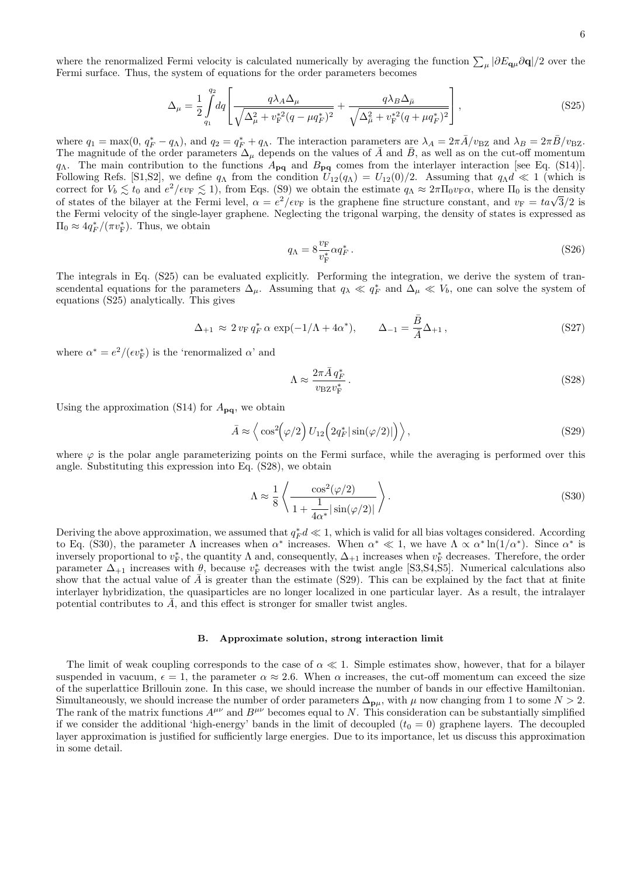where the renormalized Fermi velocity is calculated numerically by averaging the function  $\sum_{\mu} |\partial E_{\mathbf{q}\mu} \partial \mathbf{q}|/2$  over the Fermi surface. Thus, the system of equations for the order parameters becomes

$$
\Delta_{\mu} = \frac{1}{2} \int_{q_1}^{q_2} dq \left[ \frac{q \lambda_A \Delta_{\mu}}{\sqrt{\Delta_{\mu}^2 + v_{\rm F}^{*2} (q - \mu q_{F}^{*})^2}} + \frac{q \lambda_B \Delta_{\bar{\mu}}}{\sqrt{\Delta_{\mu}^2 + v_{\rm F}^{*2} (q + \mu q_{F}^{*})^2}} \right],
$$
\n(S25)

where  $q_1 = \max(0, q_F^* - q_\Lambda)$ , and  $q_2 = q_F^* + q_\Lambda$ . The interaction parameters are  $\lambda_A = 2\pi \bar{A}/v_{\rm BZ}$  and  $\lambda_B = 2\pi \bar{B}/v_{\rm BZ}$ . The magnitude of the order parameters  $\Delta_\mu$  depends on the values of  $\bar{A}$  and  $\bar{B}$ , as well as on the cut-off momentum *q*Λ. The main contribution to the functions *A***pq** and *B***pq** comes from the interlayer interaction [see Eq. (S14)]. Following Refs. [S1,S2], we define  $q_\Lambda$  from the condition  $U_{12}(q_\Lambda) = U_{12}(0)/2$ . Assuming that  $q_\Lambda d \ll 1$  (which is correct for  $V_b \lesssim t_0$  and  $e^2/e v_F \lesssim 1$ , from Eqs. (S9) we obtain the estimate  $q_\Lambda \approx 2\pi \Pi_0 v_F \alpha$ , where  $\Pi_0$  is the density of states of the bilayer at the Fermi level,  $\alpha = e^2/\epsilon v_F$  is the graphene fine structure constant, and  $v_F = t\alpha\sqrt{3}/2$  is the graphene fine structure constant, and  $v_F = t\alpha\sqrt{3}/2$  is the Fermi velocity of the single-layer graphene. Neglecting the trigonal warping, the density of states is expressed as  $\Pi_0 \approx 4q_F^*/(\pi v_F^*)$ . Thus, we obtain

$$
q_{\Lambda} = 8 \frac{v_{\rm F}}{v_{\rm F}^*} \alpha q_{F}^* \,. \tag{S26}
$$

The integrals in Eq. (S25) can be evaluated explicitly. Performing the integration, we derive the system of transcendental equations for the parameters  $\Delta_{\mu}$ . Assuming that  $q_{\lambda} \ll q_F^*$  and  $\Delta_{\mu} \ll V_b$ , one can solve the system of equations (S25) analytically. This gives

$$
\Delta_{+1} \approx 2 v_{\rm F} q_{F}^{*} \alpha \exp(-1/\Lambda + 4\alpha^{*}), \qquad \Delta_{-1} = \frac{\bar{B}}{\bar{A}} \Delta_{+1}, \qquad (S27)
$$

where  $\alpha^* = e^2/(\epsilon v_F^*)$  is the 'renormalized  $\alpha$ ' and

$$
\Lambda \approx \frac{2\pi \bar{A} q_F^*}{v_{\rm BZ} v_{\rm F}^*} \,. \tag{S28}
$$

Using the approximation (S14) for  $A_{pq}$ , we obtain

$$
\bar{A} \approx \left\langle \cos^2(\varphi/2) U_{12} \left( 2q_F^* |\sin(\varphi/2)| \right) \right\rangle, \tag{S29}
$$

where  $\varphi$  is the polar angle parameterizing points on the Fermi surface, while the averaging is performed over this angle. Substituting this expression into Eq. (S28), we obtain

$$
\Lambda \approx \frac{1}{8} \left\langle \frac{\cos^2(\varphi/2)}{1 + \frac{1}{4\alpha^*} |\sin(\varphi/2)|} \right\rangle.
$$
 (S30)

Deriving the above approximation, we assumed that  $q_F^*d \ll 1$ , which is valid for all bias voltages considered. According to Eq. (S30), the parameter  $\Lambda$  increases when  $\alpha^*$  increases. When  $\alpha^* \ll 1$ , we have  $\Lambda \propto \alpha^* \ln(1/\alpha^*)$ . Since  $\alpha^*$  is inversely proportional to  $v_F^*$ , the quantity  $\Lambda$  and, consequently,  $\Delta_{+1}$  increases when  $v_F^*$  decreases. Therefore, the order parameter  $\Delta_{+1}$  increases with  $\theta$ , because  $v_F^*$  decreases with the twist angle [S3,S4,S5]. Numerical calculations also show that the actual value of  $\bar{A}$  is greater than the estimate (S29). This can be explained by the fact that at finite interlayer hybridization, the quasiparticles are no longer localized in one particular layer. As a result, the intralayer potential contributes to A, and this effect is stronger for smaller twist angles.

### **B. Approximate solution, strong interaction limit**

The limit of weak coupling corresponds to the case of *α ≪* 1. Simple estimates show, however, that for a bilayer suspended in vacuum,  $\epsilon = 1$ , the parameter  $\alpha \approx 2.6$ . When  $\alpha$  increases, the cut-off momentum can exceed the size of the superlattice Brillouin zone. In this case, we should increase the number of bands in our effective Hamiltonian. Simultaneously, we should increase the number of order parameters  $\Delta_{\mathbf{p}\mu}$ , with  $\mu$  now changing from 1 to some *N* > 2. The rank of the matrix functions  $A^{\mu\nu}$  and  $B^{\mu\nu}$  becomes equal to *N*. This consideration can be substantially simplified if we consider the additional 'high-energy' bands in the limit of decoupled  $(t_0 = 0)$  graphene layers. The decoupled layer approximation is justified for sufficiently large energies. Due to its importance, let us discuss this approximation in some detail.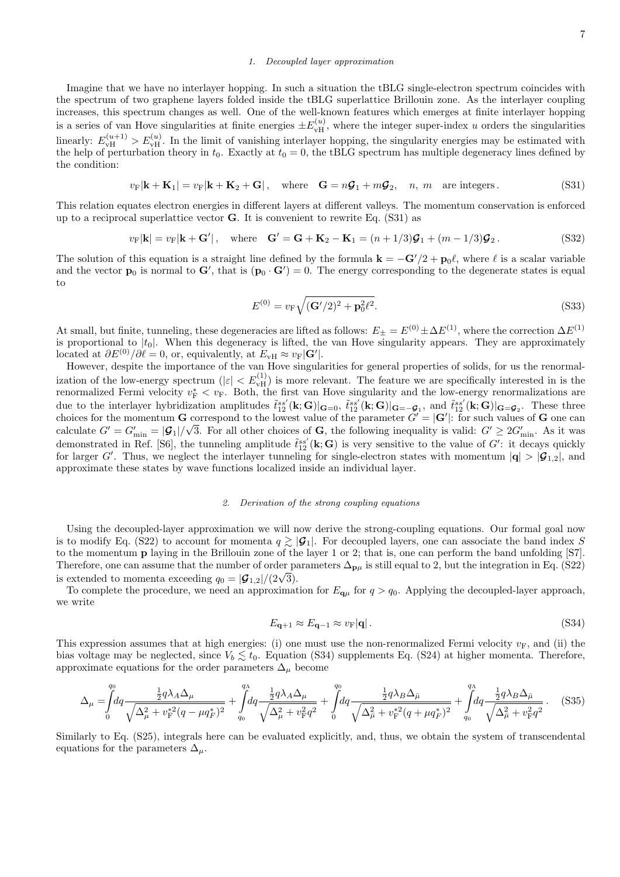## *1. Decoupled layer approximation*

Imagine that we have no interlayer hopping. In such a situation the tBLG single-electron spectrum coincides with the spectrum of two graphene layers folded inside the tBLG superlattice Brillouin zone. As the interlayer coupling increases, this spectrum changes as well. One of the well-known features which emerges at finite interlayer hopping is a series of van Hove singularities at finite energies  $\pm E_{\rm vH}^{(u)}$ , where the integer super-index *u* orders the singularities linearly:  $E_{\text{vH}}^{(u+1)} > E_{\text{vH}}^{(u)}$ . In the limit of vanishing interlayer hopping, the singularity energies may be estimated with the help of perturbation theory in  $t_0$ . Exactly at  $t_0 = 0$ , the tBLG spectrum has multiple degeneracy lines defined by the condition:

$$
v_{\mathcal{F}}|\mathbf{k} + \mathbf{K}_1| = v_{\mathcal{F}}|\mathbf{k} + \mathbf{K}_2 + \mathbf{G}|, \quad \text{where} \quad \mathbf{G} = n\mathbf{G}_1 + m\mathbf{G}_2, \quad n, \ m \quad \text{are integers}. \tag{S31}
$$

This relation equates electron energies in different layers at different valleys. The momentum conservation is enforced up to a reciprocal superlattice vector **G**. It is convenient to rewrite Eq. (S31) as

$$
v_{\mathcal{F}}|\mathbf{k}| = v_{\mathcal{F}}|\mathbf{k} + \mathbf{G}'|, \quad \text{where} \quad \mathbf{G}' = \mathbf{G} + \mathbf{K}_2 - \mathbf{K}_1 = (n+1/3)\mathcal{G}_1 + (m-1/3)\mathcal{G}_2. \tag{S32}
$$

The solution of this equation is a straight line defined by the formula  $\mathbf{k} = -\mathbf{G}'/2 + \mathbf{p}_0\ell$ , where  $\ell$  is a scalar variable and the vector  $\mathbf{p}_0$  is normal to  $\mathbf{G}'$ , that is  $(\mathbf{p}_0 \cdot \mathbf{G}') = 0$ . The energy corresponding to the degenerate states is equal to

$$
E^{(0)} = v_{\rm F} \sqrt{(\mathbf{G}'/2)^2 + \mathbf{p}_0^2 \ell^2}.
$$
 (S33)

At small, but finite, tunneling, these degeneracies are lifted as follows:  $E_{\pm} = E^{(0)} \pm \Delta E^{(1)}$ , where the correction  $\Delta E^{(1)}$ is proportional to  $|t_0|$ . When this degeneracy is lifted, the van Hove singularity appears. They are approximately located at  $\partial E^{(0)}/\partial \ell = 0$ , or, equivalently, at  $E_{\rm vH} \approx v_{\rm F}|\mathbf{G}'|$ .

However, despite the importance of the van Hove singularities for general properties of solids, for us the renormalization of the low-energy spectrum  $(|\varepsilon| < E_{vH}^{(1)})$  is more relevant. The feature we are specifically interested in is the renormalized Fermi velocity  $v_F^* < v_F$ . Both, the first van Hove singularity and the low-energy renormalizations are due to the interlayer hybridization amplitudes  $\tilde{t}_{12}^{ss'}(\mathbf{k};\mathbf{G})|_{\mathbf{G}=\mathbf{0}}, \tilde{t}_{12}^{ss'}(\mathbf{k};\mathbf{G})|_{\mathbf{G}=-\mathbf{G}_1}$ , and  $\tilde{t}_{12}^{ss'}(\mathbf{k};\mathbf{G})|_{\mathbf{G}=\mathbf{G}_2}$ . These three choices for the momentum **G** correspond to the lowest value of the parameter  $G' = |G'|$ : for such values of **G** one can calculate  $G' = G'_{\text{min}} = |\mathcal{G}_1|/\sqrt{3}$ . For all other choices of **G**, the following inequality is valid:  $G' \geq 2G'_{\text{min}}$ . As it was demonstrated in Ref. [S6], the tunneling amplitude  $\tilde{t}_{12}^{ss'}(\mathbf{k};\mathbf{G})$  is very sensitive to the value of  $G'$ : it decays quickly for larger *G*<sup>*'*</sup>. Thus, we neglect the interlayer tunneling for single-electron states with momentum  $|\mathbf{q}| > |\mathcal{G}_{1,2}|$ , and approximate these states by wave functions localized inside an individual layer.

#### *2. Derivation of the strong coupling equations*

Using the decoupled-layer approximation we will now derive the strong-coupling equations. Our formal goal now is to modify Eq. (S22) to account for momenta  $q \geq |\mathcal{G}_1|$ . For decoupled layers, one can associate the band index *S* to the momentum **p** laying in the Brillouin zone of the layer 1 or 2; that is, one can perform the band unfolding [S7]. Therefore, one can assume that the number of order parameters  $\Delta_{\mathbf{p}\mu}$  is still equal to 2, but the integration in Eq. (S22) is extended to momenta exceeding  $q_0 = |\mathcal{G}_{1,2}|/(2\sqrt{3})$ .

To complete the procedure, we need an approximation for  $E_{\mathbf{q}\mu}$  for  $q > q_0$ . Applying the decoupled-layer approach, we write

$$
E_{\mathbf{q}+1} \approx E_{\mathbf{q}-1} \approx v_{\mathrm{F}} |\mathbf{q}| \,. \tag{S34}
$$

This expression assumes that at high energies: (i) one must use the non-renormalized Fermi velocity  $v_F$ , and (ii) the bias voltage may be neglected, since  $V_b \lesssim t_0$ . Equation (S34) supplements Eq. (S24) at higher momenta. Therefore, approximate equations for the order parameters  $\Delta_{\mu}$  become

$$
\Delta_{\mu} = \int_{0}^{q_0} dq \frac{\frac{1}{2} q \lambda_A \Delta_{\mu}}{\sqrt{\Delta_{\mu}^2 + v_{\rm F}^{*2} (q - \mu q_{\rm F}^{*})^2}} + \int_{q_0}^{q_0} dq \frac{\frac{1}{2} q \lambda_A \Delta_{\mu}}{\sqrt{\Delta_{\mu}^2 + v_{\rm F}^{2} q^2}} + \int_{0}^{q_0} dq \frac{\frac{1}{2} q \lambda_B \Delta_{\bar{\mu}}}{\sqrt{\Delta_{\mu}^2 + v_{\rm F}^{*2} (q + \mu q_{\rm F}^{*})^2}} + \int_{q_0}^{q_0} dq \frac{\frac{1}{2} q \lambda_B \Delta_{\bar{\mu}}}{\sqrt{\Delta_{\mu}^2 + v_{\rm F}^{2} q^2}}.
$$
(S35)

Similarly to Eq. (S25), integrals here can be evaluated explicitly, and, thus, we obtain the system of transcendental equations for the parameters  $\Delta_{\mu}$ .